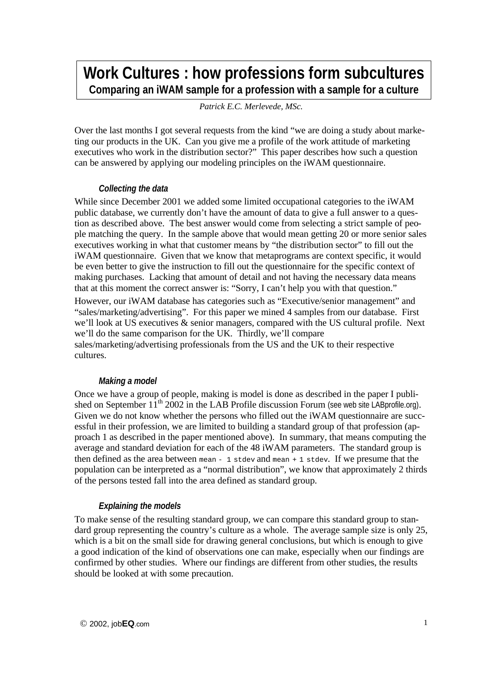# **Work Cultures : how professions form subcultures Comparing an iWAM sample for a profession with a sample for a culture**

*Patrick E.C. Merlevede, MSc.*

Over the last months I got several requests from the kind "we are doing a study about marketing our products in the UK. Can you give me a profile of the work attitude of marketing executives who work in the distribution sector?" This paper describes how such a question can be answered by applying our modeling principles on the iWAM questionnaire.

## *Collecting the data*

While since December 2001 we added some limited occupational categories to the iWAM public database, we currently don't have the amount of data to give a full answer to a question as described above. The best answer would come from selecting a strict sample of people matching the query. In the sample above that would mean getting 20 or more senior sales executives working in what that customer means by "the distribution sector" to fill out the iWAM questionnaire. Given that we know that metaprograms are context specific, it would be even better to give the instruction to fill out the questionnaire for the specific context of making purchases. Lacking that amount of detail and not having the necessary data means that at this moment the correct answer is: "Sorry, I can't help you with that question."

However, our iWAM database has categories such as "Executive/senior management" and "sales/marketing/advertising". For this paper we mined 4 samples from our database. First we'll look at US executives & senior managers, compared with the US cultural profile. Next we'll do the same comparison for the UK. Thirdly, we'll compare sales/marketing/advertising professionals from the US and the UK to their respective cultures.

## *Making a model*

Once we have a group of people, making is model is done as described in the paper I published on September  $11^{th}$  2002 in the LAB Profile discussion Forum (see web site LABprofile.org). Given we do not know whether the persons who filled out the iWAM questionnaire are successful in their profession, we are limited to building a standard group of that profession (approach 1 as described in the paper mentioned above). In summary, that means computing the average and standard deviation for each of the 48 iWAM parameters. The standard group is then defined as the area between mean - 1 stdev and mean + 1 stdev. If we presume that the population can be interpreted as a "normal distribution", we know that approximately 2 thirds of the persons tested fall into the area defined as standard group.

## *Explaining the models*

To make sense of the resulting standard group, we can compare this standard group to standard group representing the country's culture as a whole. The average sample size is only 25, which is a bit on the small side for drawing general conclusions, but which is enough to give a good indication of the kind of observations one can make, especially when our findings are confirmed by other studies. Where our findings are different from other studies, the results should be looked at with some precaution.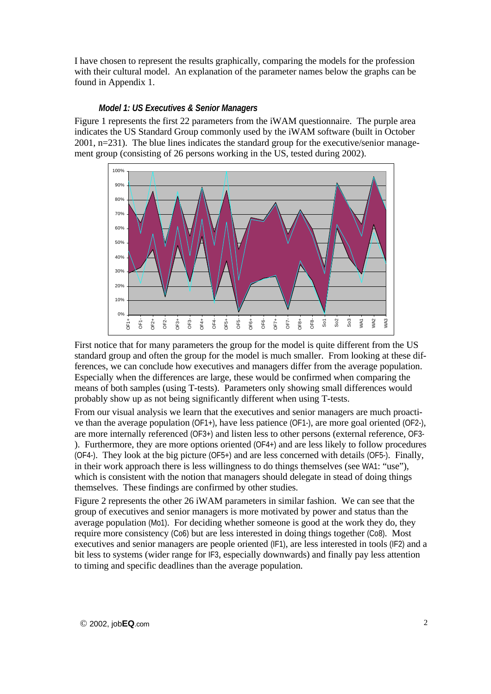I have chosen to represent the results graphically, comparing the models for the profession with their cultural model. An explanation of the parameter names below the graphs can be found in Appendix 1.

### *Model 1: US Executives & Senior Managers*

Figure 1 represents the first 22 parameters from the iWAM questionnaire. The purple area indicates the US Standard Group commonly used by the iWAM software (built in October 2001, n=231). The blue lines indicates the standard group for the executive/senior management group (consisting of 26 persons working in the US, tested during 2002).



First notice that for many parameters the group for the model is quite different from the US standard group and often the group for the model is much smaller. From looking at these differences, we can conclude how executives and managers differ from the average population. Especially when the differences are large, these would be confirmed when comparing the means of both samples (using T-tests). Parameters only showing small differences would probably show up as not being significantly different when using T-tests.

From our visual analysis we learn that the executives and senior managers are much proactive than the average population (OF1+), have less patience (OF1-), are more goal oriented (OF2-), are more internally referenced (OF3+) and listen less to other persons (external reference, OF3- ). Furthermore, they are more options oriented (OF4+) and are less likely to follow procedures (OF4-). They look at the big picture (OF5+) and are less concerned with details (OF5-). Finally, in their work approach there is less willingness to do things themselves (see WA1: "use"), which is consistent with the notion that managers should delegate in stead of doing things themselves. These findings are confirmed by other studies.

Figure 2 represents the other 26 iWAM parameters in similar fashion. We can see that the group of executives and senior managers is more motivated by power and status than the average population (Mo1). For deciding whether someone is good at the work they do, they require more consistency (Co6) but are less interested in doing things together (Co8). Most executives and senior managers are people oriented (IF1), are less interested in tools (IF2) and a bit less to systems (wider range for IF3, especially downwards) and finally pay less attention to timing and specific deadlines than the average population.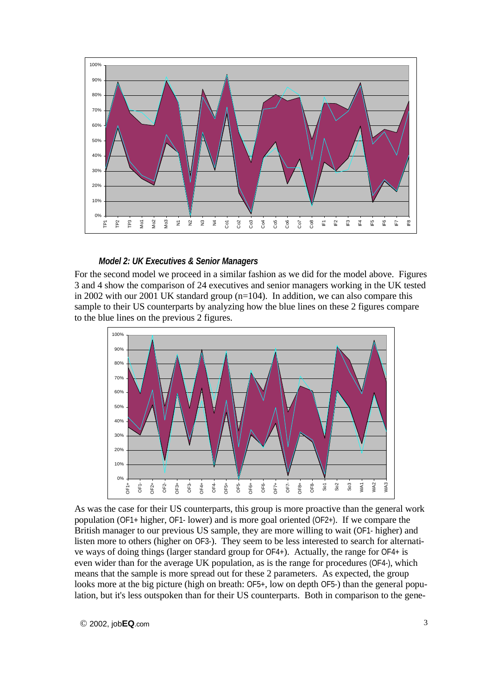

### *Model 2: UK Executives & Senior Managers*

For the second model we proceed in a similar fashion as we did for the model above. Figures 3 and 4 show the comparison of 24 executives and senior managers working in the UK tested in 2002 with our 2001 UK standard group  $(n=104)$ . In addition, we can also compare this sample to their US counterparts by analyzing how the blue lines on these 2 figures compare to the blue lines on the previous 2 figures.



As was the case for their US counterparts, this group is more proactive than the general work population (OF1+ higher, OF1- lower) and is more goal oriented (OF2+). If we compare the British manager to our previous US sample, they are more willing to wait (OF1- higher) and listen more to others (higher on OF3-). They seem to be less interested to search for alternative ways of doing things (larger standard group for OF4+). Actually, the range for OF4+ is even wider than for the average UK population, as is the range for procedures (OF4-), which means that the sample is more spread out for these 2 parameters. As expected, the group looks more at the big picture (high on breath:  $OF5<sub>+</sub>$ , low on depth OF5-) than the general population, but it's less outspoken than for their US counterparts. Both in comparison to the gene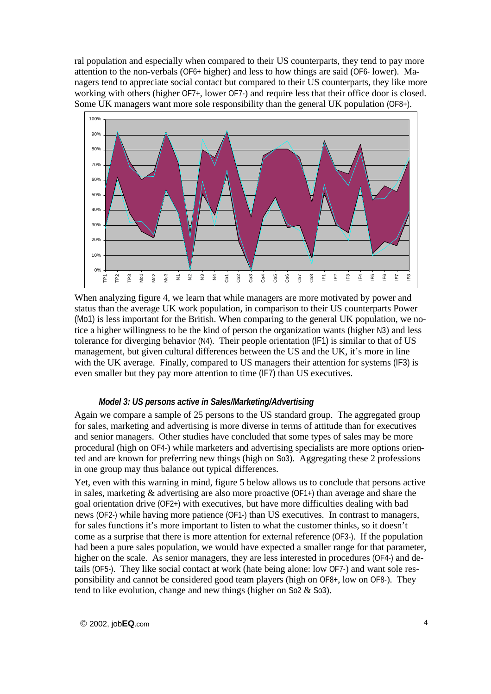ral population and especially when compared to their US counterparts, they tend to pay more attention to the non-verbals (OF6+ higher) and less to how things are said (OF6- lower). Managers tend to appreciate social contact but compared to their US counterparts, they like more working with others (higher OF7+, lower OF7-) and require less that their office door is closed. Some UK managers want more sole responsibility than the general UK population (OF8+).



When analyzing figure 4, we learn that while managers are more motivated by power and status than the average UK work population, in comparison to their US counterparts Power (Mo1) is less important for the British. When comparing to the general UK population, we notice a higher willingness to be the kind of person the organization wants (higher N3) and less tolerance for diverging behavior (N4). Their people orientation (IF1) is similar to that of US management, but given cultural differences between the US and the UK, it's more in line with the UK average. Finally, compared to US managers their attention for systems (IF3) is even smaller but they pay more attention to time (IF7) than US executives.

### *Model 3: US persons active in Sales/Marketing/Advertising*

Again we compare a sample of 25 persons to the US standard group. The aggregated group for sales, marketing and advertising is more diverse in terms of attitude than for executives and senior managers. Other studies have concluded that some types of sales may be more procedural (high on OF4-) while marketers and advertising specialists are more options oriented and are known for preferring new things (high on So3). Aggregating these 2 professions in one group may thus balance out typical differences.

Yet, even with this warning in mind, figure 5 below allows us to conclude that persons active in sales, marketing & advertising are also more proactive (OF1+) than average and share the goal orientation drive (OF2+) with executives, but have more difficulties dealing with bad news (OF2-) while having more patience (OF1-) than US executives. In contrast to managers, for sales functions it's more important to listen to what the customer thinks, so it doesn't come as a surprise that there is more attention for external reference (OF3-). If the population had been a pure sales population, we would have expected a smaller range for that parameter, higher on the scale. As senior managers, they are less interested in procedures (OF4-) and details (OF5-). They like social contact at work (hate being alone: low OF7-) and want sole responsibility and cannot be considered good team players (high on OF8+, low on OF8-). They tend to like evolution, change and new things (higher on So2 & So3).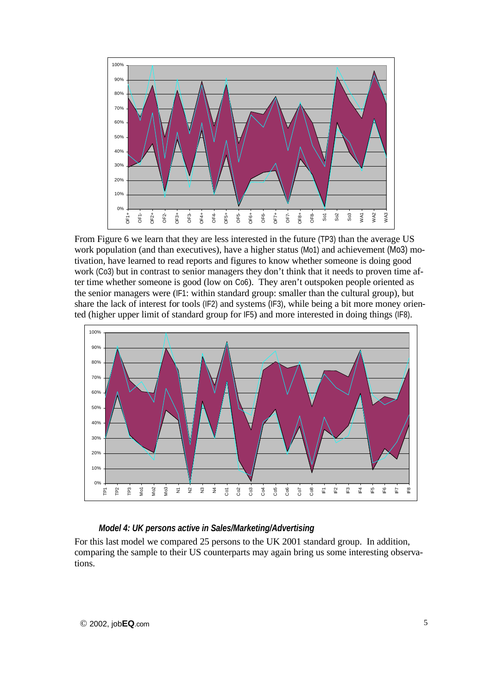

From Figure 6 we learn that they are less interested in the future (TP3) than the average US work population (and than executives), have a higher status (Mo1) and achievement (Mo3) motivation, have learned to read reports and figures to know whether someone is doing good work (Co3) but in contrast to senior managers they don't think that it needs to proven time after time whether someone is good (low on Co6). They aren't outspoken people oriented as the senior managers were (IF1: within standard group: smaller than the cultural group), but share the lack of interest for tools (IF2) and systems (IF3), while being a bit more money oriented (higher upper limit of standard group for IF5) and more interested in doing things (IF8).



## *Model 4: UK persons active in Sales/Marketing/Advertising*

For this last model we compared 25 persons to the UK 2001 standard group. In addition, comparing the sample to their US counterparts may again bring us some interesting observations.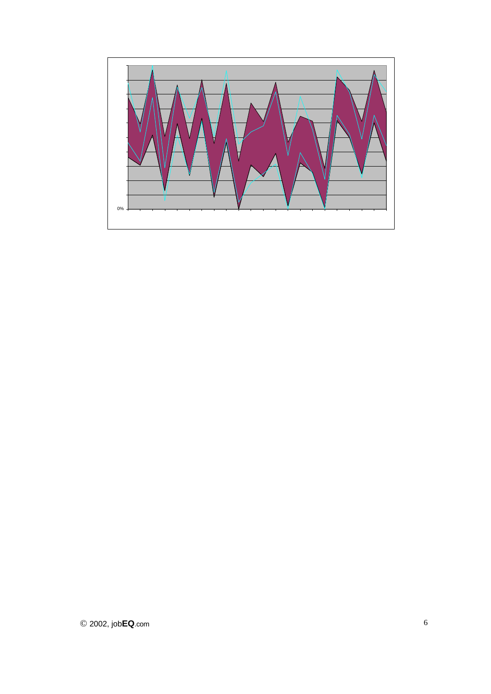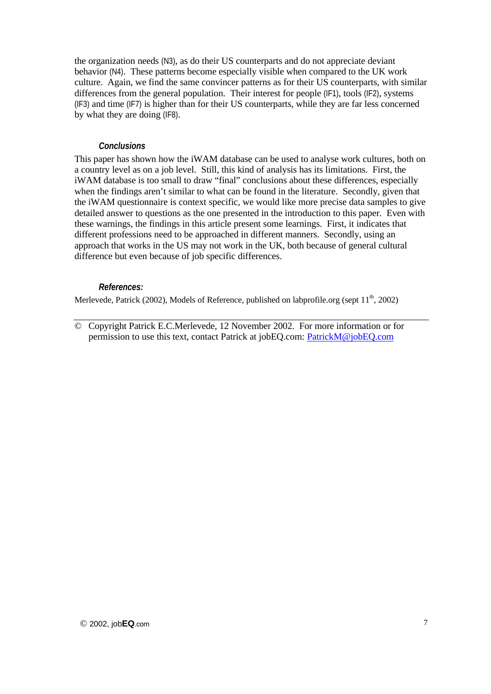the organization needs (N3), as do their US counterparts and do not appreciate deviant behavior (N4). These patterns become especially visible when compared to the UK work culture. Again, we find the same convincer patterns as for their US counterparts, with similar differences from the general population. Their interest for people (IF1), tools (IF2), systems (IF3) and time (IF7) is higher than for their US counterparts, while they are far less concerned by what they are doing (IF8).

### *Conclusions*

This paper has shown how the iWAM database can be used to analyse work cultures, both on a country level as on a job level. Still, this kind of analysis has its limitations. First, the iWAM database is too small to draw "final" conclusions about these differences, especially when the findings aren't similar to what can be found in the literature. Secondly, given that the iWAM questionnaire is context specific, we would like more precise data samples to give detailed answer to questions as the one presented in the introduction to this paper. Even with these warnings, the findings in this article present some learnings. First, it indicates that different professions need to be approached in different manners. Secondly, using an approach that works in the US may not work in the UK, both because of general cultural difference but even because of job specific differences.

### *References:*

Merlevede, Patrick (2002), Models of Reference, published on labprofile.org (sept  $11<sup>th</sup>$ , 2002)

© Copyright Patrick E.C.Merlevede, 12 November 2002. For more information or for permission to use this text, contact Patrick at jobEQ.com: PatrickM@jobEQ.com